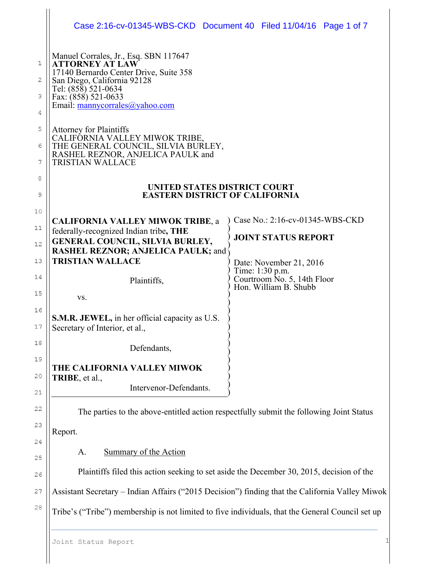|                  | Case 2:16-cv-01345-WBS-CKD Document 40 Filed 11/04/16 Page 1 of 7                                                                                                                                                         |  |                                                                           |  |
|------------------|---------------------------------------------------------------------------------------------------------------------------------------------------------------------------------------------------------------------------|--|---------------------------------------------------------------------------|--|
| 1<br>2<br>З<br>4 | Manuel Corrales, Jr., Esq. SBN 117647<br><b>ATTORNEY AT LAW</b><br>17140 Bernardo Center Drive, Suite 358<br>San Diego, California 92128<br>Tel: (858) 521-0634<br>Fax: (858) 521-0633<br>Email: $manycorrales@yahoo.com$ |  |                                                                           |  |
| 5<br>6<br>7      | <b>Attorney for Plaintiffs</b><br>CALIFORNIA VALLEY MIWOK TRIBE,<br>THE GENERAL COUNCIL, SILVIA BURLEY, RASHEL REZNOR, ANJELICA PAULK and<br><b>TRISTIAN WALLACE</b>                                                      |  |                                                                           |  |
| 8<br>9           | UNITED STATES DISTRICT COURT<br><b>EASTERN DISTRICT OF CALIFORNIA</b>                                                                                                                                                     |  |                                                                           |  |
| 10<br>11<br>12   | <b>CALIFORNIA VALLEY MIWOK TRIBE, a</b><br>federally-recognized Indian tribe, THE<br>GENERAL COUNCIL, SILVIA BURLEY,                                                                                                      |  | Case No.: 2:16-cv-01345-WBS-CKD<br><b>JOINT STATUS REPORT</b>             |  |
| 13<br>14         | <b>RASHEL REZNOR; ANJELICA PAULK; and</b><br><b>TRISTIAN WALLACE</b><br>Plaintiffs,                                                                                                                                       |  | Date: November 21, 2016<br>Time: 1:30 p.m.<br>Courtroom No. 5, 14th Floor |  |
| 15<br>16         | VS.                                                                                                                                                                                                                       |  | Hon. William B. Shubb                                                     |  |
| 17<br>18         | <b>S.M.R. JEWEL, in her official capacity as U.S.</b><br>Secretary of Interior, et al.,                                                                                                                                   |  |                                                                           |  |
| 19               | Defendants,<br>THE CALIFORNIA VALLEY MIWOK                                                                                                                                                                                |  |                                                                           |  |
| 20<br>21         | TRIBE, et al.,<br>Intervenor-Defendants.                                                                                                                                                                                  |  |                                                                           |  |
| 22<br>23         | The parties to the above-entitled action respectfully submit the following Joint Status<br>Report.                                                                                                                        |  |                                                                           |  |
| 24<br>25         | Summary of the Action<br>A.                                                                                                                                                                                               |  |                                                                           |  |
| 26               | Plaintiffs filed this action seeking to set aside the December 30, 2015, decision of the                                                                                                                                  |  |                                                                           |  |
| 27<br>28         | Assistant Secretary - Indian Affairs ("2015 Decision") finding that the California Valley Miwok                                                                                                                           |  |                                                                           |  |
|                  | Tribe's ("Tribe") membership is not limited to five individuals, that the General Council set up                                                                                                                          |  |                                                                           |  |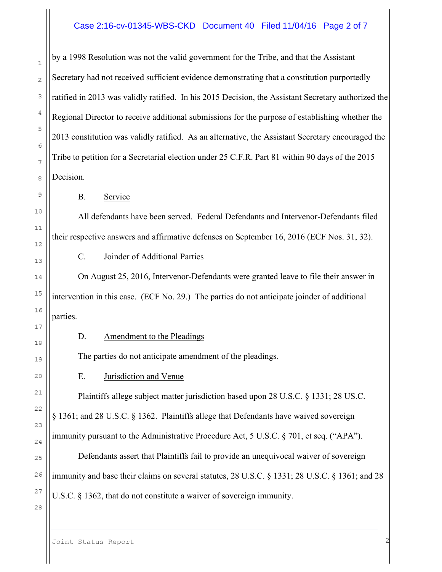# Case 2:16-cv-01345-WBS-CKD Document 40 Filed 11/04/16 Page 2 of 7

by a 1998 Resolution was not the valid government for the Tribe, and that the Assistant Secretary had not received sufficient evidence demonstrating that a constitution purportedly ratified in 2013 was validly ratified. In his 2015 Decision, the Assistant Secretary authorized the Regional Director to receive additional submissions for the purpose of establishing whether the 2013 constitution was validly ratified. As an alternative, the Assistant Secretary encouraged the Tribe to petition for a Secretarial election under 25 C.F.R. Part 81 within 90 days of the 2015 Decision.

B. Service

All defendants have been served. Federal Defendants and Intervenor-Defendants filed their respective answers and affirmative defenses on September 16, 2016 (ECF Nos. 31, 32).

C. Joinder of Additional Parties

On August 25, 2016, Intervenor-Defendants were granted leave to file their answer in intervention in this case. (ECF No. 29.) The parties do not anticipate joinder of additional parties.

### D. Amendment to the Pleadings

The parties do not anticipate amendment of the pleadings.

E. Jurisdiction and Venue

Plaintiffs allege subject matter jurisdiction based upon 28 U.S.C. § 1331; 28 US.C. § 1361; and 28 U.S.C. § 1362. Plaintiffs allege that Defendants have waived sovereign immunity pursuant to the Administrative Procedure Act, 5 U.S.C. § 701, et seq. ("APA"). Defendants assert that Plaintiffs fail to provide an unequivocal waiver of sovereign immunity and base their claims on several statutes, 28 U.S.C. § 1331; 28 U.S.C. § 1361; and 28 U.S.C. § 1362, that do not constitute a waiver of sovereign immunity.

 $\mathbf{1}$ 

 $\overline{2}$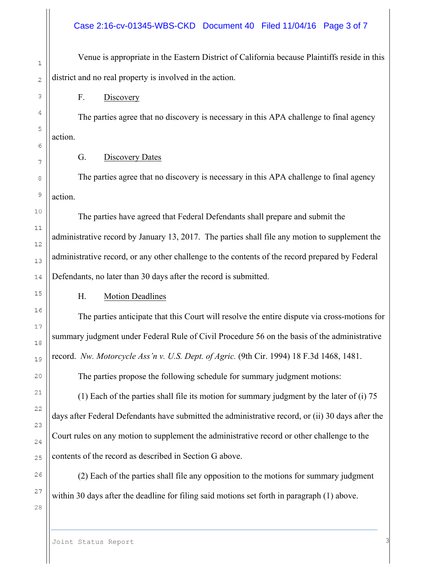# Case 2:16-cv-01345-WBS-CKD Document 40 Filed 11/04/16 Page 3 of 7

Venue is appropriate in the Eastern District of California because Plaintiffs reside in this district and no real property is involved in the action.

F. Discovery

The parties agree that no discovery is necessary in this APA challenge to final agency action.

# G. Discovery Dates

The parties agree that no discovery is necessary in this APA challenge to final agency action.

The parties have agreed that Federal Defendants shall prepare and submit the administrative record by January 13, 2017. The parties shall file any motion to supplement the administrative record, or any other challenge to the contents of the record prepared by Federal Defendants, no later than 30 days after the record is submitted.

# H. Motion Deadlines

The parties anticipate that this Court will resolve the entire dispute via cross-motions for summary judgment under Federal Rule of Civil Procedure 56 on the basis of the administrative record. *Nw. Motorcycle Ass'n v. U.S. Dept. of Agric.* (9th Cir. 1994) 18 F.3d 1468, 1481.

The parties propose the following schedule for summary judgment motions:

(1) Each of the parties shall file its motion for summary judgment by the later of (i) 75 days after Federal Defendants have submitted the administrative record, or (ii) 30 days after the Court rules on any motion to supplement the administrative record or other challenge to the contents of the record as described in Section G above.

(2) Each of the parties shall file any opposition to the motions for summary judgment within 30 days after the deadline for filing said motions set forth in paragraph (1) above.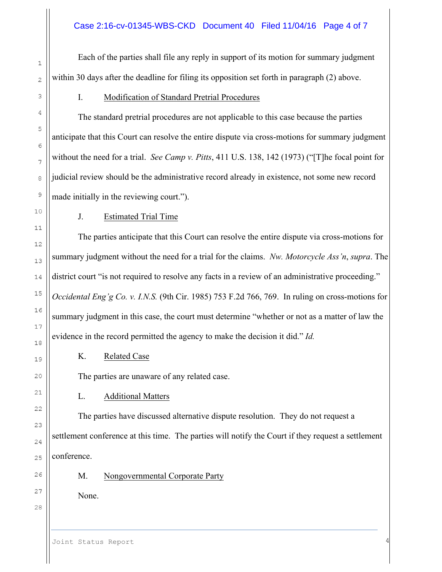Each of the parties shall file any reply in support of its motion for summary judgment within 30 days after the deadline for filing its opposition set forth in paragraph (2) above.

I. Modification of Standard Pretrial Procedures

The standard pretrial procedures are not applicable to this case because the parties anticipate that this Court can resolve the entire dispute via cross-motions for summary judgment without the need for a trial. *See Camp v. Pitts*, 411 U.S. 138, 142 (1973) ("[T]he focal point for judicial review should be the administrative record already in existence, not some new record made initially in the reviewing court.").

J. Estimated Trial Time

The parties anticipate that this Court can resolve the entire dispute via cross-motions for summary judgment without the need for a trial for the claims. *Nw. Motorcycle Ass'n*, *supra*. The district court "is not required to resolve any facts in a review of an administrative proceeding." *Occidental Eng'g Co. v. I.N.S.* (9th Cir. 1985) 753 F.2d 766, 769. In ruling on cross-motions for summary judgment in this case, the court must determine "whether or not as a matter of law the evidence in the record permitted the agency to make the decision it did." *Id.*

K. Related Case

The parties are unaware of any related case.

L. Additional Matters

The parties have discussed alternative dispute resolution. They do not request a settlement conference at this time. The parties will notify the Court if they request a settlement conference.

M. Nongovernmental Corporate Party

None.

26 27

28

 $\mathbf{1}$ 

 $\overline{2}$ 

3

4

5

6

 $\overline{7}$ 

8

9

10

 $1\,1$ 

 $12$ 

13

14

15

16

17

18

19

20

 $21$ 

22

23

24

25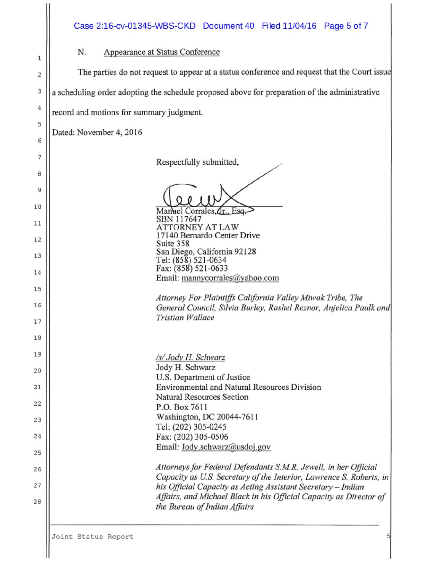#### N. Appearance at Status Conference

The parties do not request to appear at a status conference and request that the Court issue

a scheduling order adopting the schedule proposed above for preparation of the administrative

record and motions for summary judgment.

Dated: November 4, 2016

 $\mathbf 1$ 

 $\overline{2}$ 

3

 $\it 4$ 

5

6

 $\overline{7}$ 

8

9

 $10$ 

11

 $12$ 

Respectfully submitted,

Manuel Corrales, Or. Esa

SBN 117647 **ATTORNEY AT LAW** 17140 Bernardo Center Drive Suite 358 San Diego, California 92128 Tel: (858) 521-0634 Fax: (858) 521-0633 Email: mannycorrales@yahoo.com

Attorney For Plaintiffs California Valley Miwok Tribe, The General Council, Silvia Burley, Rashel Reznor, Anjelica Paulk and **Tristian Wallace** 

/s/ Jody H. Schwarz Jody H. Schwarz U.S. Department of Justice **Environmental and Natural Resources Division** Natural Resources Section P.O. Box 7611 Washington, DC 20044-7611 Tel: (202) 305-0245 Fax: (202) 305-0506 Email: Jody.schwarz@usdoj.gov

Attorneys for Federal Defendants S.M.R. Jewell, in her Official Capacity as U.S. Secretary of the Interior, Lawrence S. Roberts, in his Official Capacity as Acting Assistant Secretary - Indian Affairs, and Michael Black in his Official Capacity as Director of the Bureau of Indian Affairs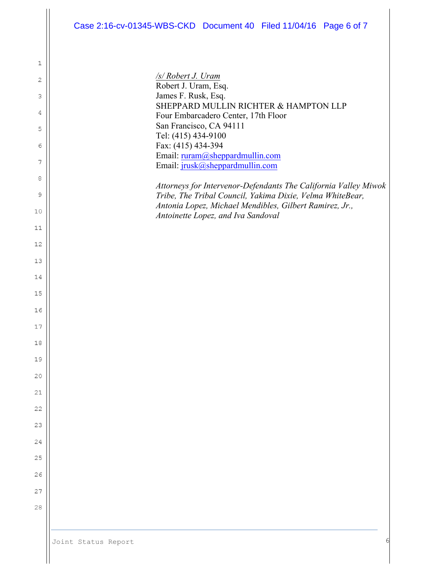#### Case 2:16-cv-01345-WBS-CKD Document 40 Filed 11/04/16 Page 6 of 7

*/s/ Robert J. Uram*  Robert J. Uram, Esq. James F. Rusk, Esq. SHEPPARD MULLIN RICHTER & HAMPTON LLP Four Embarcadero Center, 17th Floor San Francisco, CA 94111 Tel: (415) 434-9100 Fax: (415) 434-394 Email: ruram@sheppardmullin.com Email: jrusk@sheppardmullin.com

*Attorneys for Intervenor-Defendants The California Valley Miwok Tribe, The Tribal Council, Yakima Dixie, Velma WhiteBear, Antonia Lopez, Michael Mendibles, Gilbert Ramirez, Jr., Antoinette Lopez, and Iva Sandoval*

 $\mathbbm{1}$ 

 $\overline{c}$ 

3

4

5

6

7

8

9

10

 $1\,1$ 

 $12$ 

13

14

15

16

17

 $18$ 

19

20

 $21$ 

22

23

24

25

26

27

28